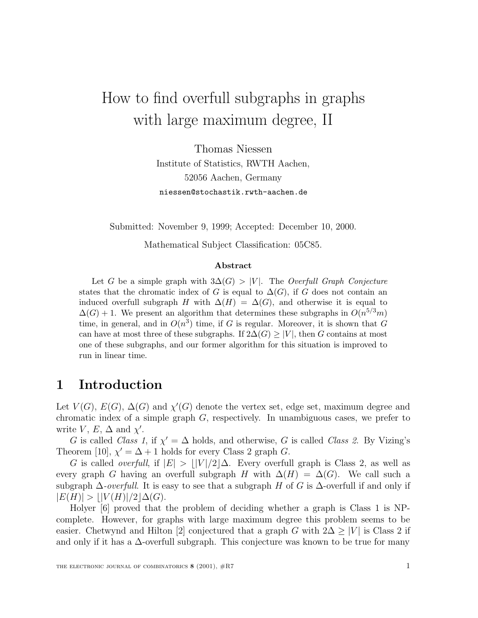# How to find overfull subgraphs in graphs with large maximum degree, II

Thomas Niessen Institute of Statistics, RWTH Aachen, 52056 Aachen, Germany niessen@stochastik.rwth-aachen.de

Submitted: November 9, 1999; Accepted: December 10, 2000.

Mathematical Subject Classification: 05C85.

#### **Abstract**

Let G be a simple graph with  $3\Delta(G) > |V|$ . The Overfull Graph Conjecture states that the chromatic index of G is equal to  $\Delta(G)$ , if G does not contain an induced overfull subgraph H with  $\Delta(H) = \Delta(G)$ , and otherwise it is equal to  $\Delta(G) + 1$ . We present an algorithm that determines these subgraphs in  $O(n^{5/3}m)$ time, in general, and in  $O(n^3)$  time, if G is regular. Moreover, it is shown that G can have at most three of these subgraphs. If  $2\Delta(G) \geq |V|$ , then G contains at most one of these subgraphs, and our former algorithm for this situation is improved to run in linear time.

### **1 Introduction**

Let  $V(G)$ ,  $E(G)$ ,  $\Delta(G)$  and  $\chi'(G)$  denote the vertex set, edge set, maximum degree and chromatic index of a simple graph  $G$ , respectively. In unambiguous cases, we prefer to write  $V, E, \Delta$  and  $\chi'$ .

G is called Class 1, if  $\chi' = \Delta$  holds, and otherwise, G is called Class 2. By Vizing's Theorem [10],  $\chi' = \Delta + 1$  holds for every Class 2 graph G.

G is called *overfull*, if  $|E| > ||V|/2|\Delta$ . Every overfull graph is Class 2, as well as every graph G having an overfull subgraph H with  $\Delta(H) = \Delta(G)$ . We call such a subgraph  $\Delta$ -overfull. It is easy to see that a subgraph H of G is  $\Delta$ -overfull if and only if  $|E(H)| > |V(H)|/2|\Delta(G).$ 

Holyer [6] proved that the problem of deciding whether a graph is Class 1 is NPcomplete. However, for graphs with large maximum degree this problem seems to be easier. Chetwynd and Hilton [2] conjectured that a graph G with  $2\Delta \geq |V|$  is Class 2 if and only if it has a  $\Delta$ -overfull subgraph. This conjecture was known to be true for many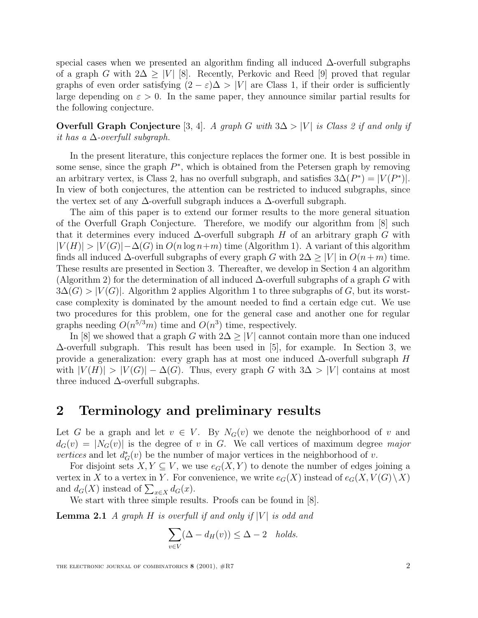special cases when we presented an algorithm finding all induced ∆-overfull subgraphs of a graph G with  $2\Delta > |V|$  [8]. Recently, Perkovic and Reed [9] proved that regular graphs of even order satisfying  $(2 - \varepsilon)\Delta > |V|$  are Class 1, if their order is sufficiently large depending on  $\varepsilon > 0$ . In the same paper, they announce similar partial results for the following conjecture.

**Overfull Graph Conjecture** [3, 4]. A graph G with  $3\Delta > |V|$  is Class 2 if and only if it has a  $\Delta$ -overfull subgraph.

In the present literature, this conjecture replaces the former one. It is best possible in some sense, since the graph  $P^*$ , which is obtained from the Petersen graph by removing an arbitrary vertex, is Class 2, has no overfull subgraph, and satisfies  $3\Delta(P^*) = |V(P^*)|$ . In view of both conjectures, the attention can be restricted to induced subgraphs, since the vertex set of any  $\Delta$ -overfull subgraph induces a  $\Delta$ -overfull subgraph.

The aim of this paper is to extend our former results to the more general situation of the Overfull Graph Conjecture. Therefore, we modify our algorithm from [8] such that it determines every induced  $\Delta$ -overfull subgraph H of an arbitrary graph G with  $|V(H)| > |V(G)| - \Delta(G)$  in  $O(n \log n + m)$  time (Algorithm 1). A variant of this algorithm finds all induced  $\Delta$ -overfull subgraphs of every graph G with  $2\Delta \geq |V|$  in  $O(n+m)$  time. These results are presented in Section 3. Thereafter, we develop in Section 4 an algorithm (Algorithm 2) for the determination of all induced  $\Delta$ -overfull subgraphs of a graph G with  $3\Delta(G) > |V(G)|$ . Algorithm 2 applies Algorithm 1 to three subgraphs of G, but its worstcase complexity is dominated by the amount needed to find a certain edge cut. We use two procedures for this problem, one for the general case and another one for regular graphs needing  $O(n^{5/3}m)$  time and  $O(n^3)$  time, respectively.

In [8] we showed that a graph G with  $2\Delta \geq |V|$  cannot contain more than one induced ∆-overfull subgraph. This result has been used in [5], for example. In Section 3, we provide a generalization: every graph has at most one induced  $\Delta$ -overfull subgraph H with  $|V(H)| > |V(G)| - \Delta(G)$ . Thus, every graph G with  $3\Delta > |V|$  contains at most three induced  $\Delta$ -overfull subgraphs.

### **2 Terminology and preliminary results**

Let G be a graph and let  $v \in V$ . By  $N_G(v)$  we denote the neighborhood of v and  $d_G(v) = |N_G(v)|$  is the degree of v in G. We call vertices of maximum degree major *vertices* and let  $d^*_{G}(v)$  be the number of major vertices in the neighborhood of v.

For disjoint sets  $X, Y \subseteq V$ , we use  $e_G(X, Y)$  to denote the number of edges joining a vertex in X to a vertex in Y. For convenience, we write  $e_G(X)$  instead of  $e_G(X, V(G) \setminus X)$ and  $d_G(X)$  instead of  $\sum_{x \in X} d_G(x)$ .

We start with three simple results. Proofs can be found in [8].

**Lemma 2.1** A graph H is overfull if and only if  $|V|$  is odd and

$$
\sum_{v \in V} (\Delta - d_H(v)) \le \Delta - 2 \quad holds.
$$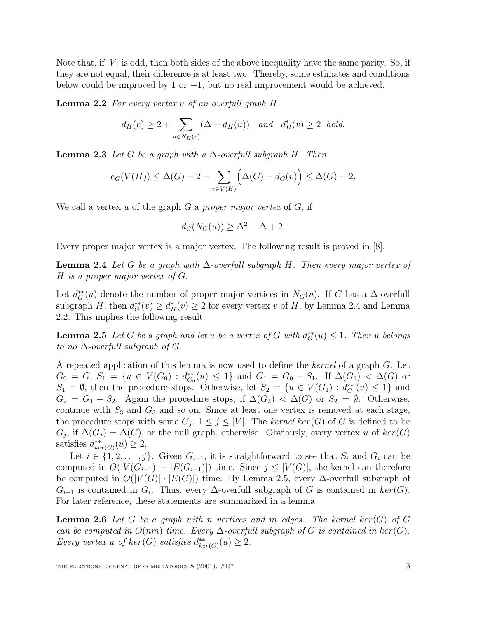Note that, if  $|V|$  is odd, then both sides of the above inequality have the same parity. So, if they are not equal, their difference is at least two. Thereby, some estimates and conditions below could be improved by 1 or  $-1$ , but no real improvement would be achieved.

**Lemma 2.2** For every vertex v of an overfull graph H

$$
d_H(v) \ge 2 + \sum_{u \in N_H(v)} (\Delta - d_H(u)) \quad \text{and} \quad d_H^*(v) \ge 2 \quad \text{hold}.
$$

**Lemma 2.3** Let G be a graph with a  $\Delta$ -overfull subgraph H. Then

$$
e_G(V(H)) \le \Delta(G) - 2 - \sum_{v \in V(H)} \Big(\Delta(G) - d_G(v)\Big) \le \Delta(G) - 2.
$$

We call a vertex u of the graph  $G$  a proper major vertex of  $G$ , if

$$
d_G(N_G(u)) \ge \Delta^2 - \Delta + 2.
$$

Every proper major vertex is a major vertex. The following result is proved in [8].

**Lemma 2.4** Let G be a graph with  $\Delta$ -overfull subgraph H. Then every major vertex of H is a proper major vertex of G.

Let  $d_G^{**}(u)$  denote the number of proper major vertices in  $N_G(u)$ . If G has a  $\Delta$ -overfull subgraph H, then  $d_G^{**}(v) \ge d_H^*(v) \ge 2$  for every vertex v of H, by Lemma 2.4 and Lemma 2.2. This implies the following result.

**Lemma 2.5** Let G be a graph and let u be a vertex of G with  $d_G^{**}(u) \leq 1$ . Then u belongs to no  $\Delta$ -overfull subgraph of  $G$ .

A repeated application of this lemma is now used to define the kernel of a graph G. Let  $G_0 = G, S_1 = \{u \in V(G_0) : d_{G_0}^{**}(u) \leq 1\}$  and  $G_1 = G_0 - S_1$ . If  $\Delta(G_1) < \Delta(G)$  or  $S_1 = \emptyset$ , then the procedure stops. Otherwise, let  $S_2 = \{u \in V(G_1) : d_{G_1}^{**}(u) \leq 1\}$  and  $G_2 = G_1 - S_2$ . Again the procedure stops, if  $\Delta(G_2) < \Delta(G)$  or  $S_2 = \emptyset$ . Otherwise, continue with  $S_3$  and  $G_3$  and so on. Since at least one vertex is removed at each stage, the procedure stops with some  $G_j$ ,  $1 \leq j \leq |V|$ . The kernel ker(G) of G is defined to be  $G_i$ , if  $\Delta(G_i) = \Delta(G)$ , or the null graph, otherwise. Obviously, every vertex u of  $ker(G)$ satisfies  $d_{ker(G)}^{**}(u) \geq 2$ .

Let  $i \in \{1, 2, \ldots, j\}$ . Given  $G_{i-1}$ , it is straightforward to see that  $S_i$  and  $G_i$  can be computed in  $O(|V(G_{i-1})| + |E(G_{i-1})|)$  time. Since  $j \leq |V(G)|$ , the kernel can therefore be computed in  $O(|V(G)|\cdot |E(G)|)$  time. By Lemma 2.5, every  $\Delta$ -overfull subgraph of  $G_{i-1}$  is contained in  $G_i$ . Thus, every  $\Delta$ -overfull subgraph of G is contained in  $ker(G)$ . For later reference, these statements are summarized in a lemma.

**Lemma 2.6** Let G be a graph with n vertices and m edges. The kernel ker(G) of G can be computed in  $O(nm)$  time. Every  $\Delta$ -overfull subgraph of G is contained in ker(G). Every vertex u of  $ker(G)$  satisfies  $d_{ker(G)}^{**}(u) \geq 2$ .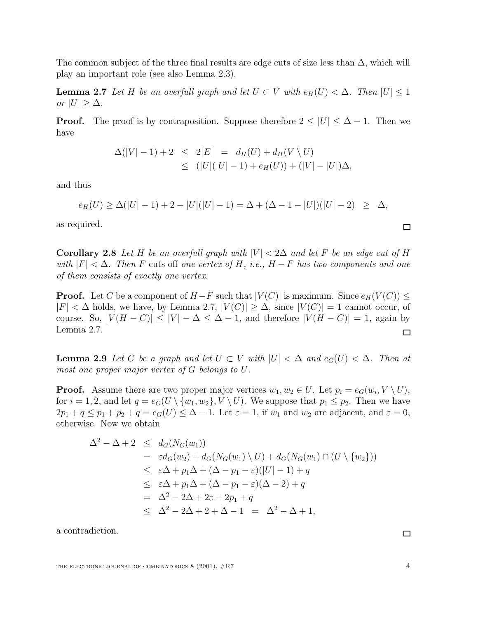The common subject of the three final results are edge cuts of size less than  $\Delta$ , which will play an important role (see also Lemma 2.3).

**Lemma 2.7** Let H be an overfull graph and let  $U \subset V$  with  $e_H(U) < \Delta$ . Then  $|U| \leq 1$ or  $|U| \geq \Delta$ .

**Proof.** The proof is by contraposition. Suppose therefore  $2 \leq |U| \leq \Delta - 1$ . Then we have

$$
\Delta(|V|-1) + 2 \leq 2|E| = d_H(U) + d_H(V \setminus U)
$$
  
\n
$$
\leq (|U|(|U|-1) + e_H(U)) + (|V| - |U|)\Delta,
$$

and thus

$$
e_H(U) \ge \Delta(|U|-1) + 2 - |U|(|U|-1) = \Delta + (\Delta - 1 - |U|)(|U| - 2) \ge \Delta,
$$

as required.

**Corollary 2.8** Let H be an overfull graph with  $|V| < 2\Delta$  and let F be an edge cut of H with  $|F| < \Delta$ . Then F cuts off one vertex of H, i.e.,  $H - F$  has two components and one of them consists of exactly one vertex.

**Proof.** Let C be a component of  $H-F$  such that  $|V(C)|$  is maximum. Since  $e_H(V(C)) \le$  $|F| < \Delta$  holds, we have, by Lemma 2.7,  $|V(C)| \geq \Delta$ , since  $|V(C)| = 1$  cannot occur, of course. So,  $|V(H - C)| \leq |V| - \Delta \leq \Delta - 1$ , and therefore  $|V(H - C)| = 1$ , again by Lemma 2.7.  $\Box$ 

**Lemma 2.9** Let G be a graph and let  $U \subset V$  with  $|U| < \Delta$  and  $e_G(U) < \Delta$ . Then at most one proper major vertex of G belongs to U.

**Proof.** Assume there are two proper major vertices  $w_1, w_2 \in U$ . Let  $p_i = e_G(w_i, V \setminus U)$ , for  $i = 1, 2$ , and let  $q = e_G(U \setminus \{w_1, w_2\}, V \setminus U)$ . We suppose that  $p_1 \leq p_2$ . Then we have  $2p_1 + q \leq p_1 + p_2 + q = e_G(U) \leq \Delta - 1$ . Let  $\varepsilon = 1$ , if  $w_1$  and  $w_2$  are adjacent, and  $\varepsilon = 0$ , otherwise. Now we obtain

$$
\Delta^2 - \Delta + 2 \leq d_G(N_G(w_1))
$$
  
=  $\varepsilon d_G(w_2) + d_G(N_G(w_1) \setminus U) + d_G(N_G(w_1) \cap (U \setminus \{w_2\}))$   
 $\leq \varepsilon \Delta + p_1 \Delta + (\Delta - p_1 - \varepsilon)(|U| - 1) + q$   
 $\leq \varepsilon \Delta + p_1 \Delta + (\Delta - p_1 - \varepsilon)(\Delta - 2) + q$   
=  $\Delta^2 - 2\Delta + 2\varepsilon + 2p_1 + q$   
 $\leq \Delta^2 - 2\Delta + 2 + \Delta - 1 = \Delta^2 - \Delta + 1,$ 

a contradiction.

 $\Box$ 

 $\Box$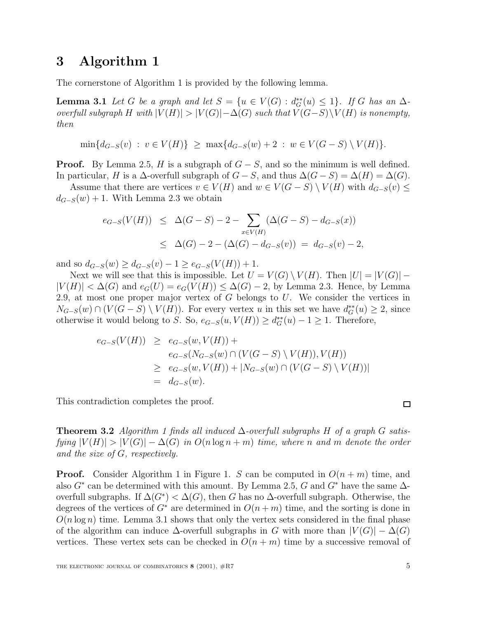### **3 Algorithm 1**

The cornerstone of Algorithm 1 is provided by the following lemma.

**Lemma 3.1** Let G be a graph and let  $S = \{u \in V(G) : d_G^{**}(u) \leq 1\}$ . If G has an  $\Delta$ overfull subgraph H with  $|V(H)| > |V(G)| - \Delta(G)$  such that  $V(G-S) \setminus V(H)$  is nonempty, then

$$
\min\{d_{G-S}(v) : v \in V(H)\} \ge \max\{d_{G-S}(w) + 2 : w \in V(G-S) \setminus V(H)\}.
$$

**Proof.** By Lemma 2.5, H is a subgraph of  $G - S$ , and so the minimum is well defined. In particular, H is a  $\Delta$ -overfull subgraph of  $G - S$ , and thus  $\Delta(G - S) = \Delta(H) = \Delta(G)$ .

Assume that there are vertices  $v \in V(H)$  and  $w \in V(G-S) \setminus V(H)$  with  $d_{G-S}(v) \leq$  $d_{G-S}(w) + 1$ . With Lemma 2.3 we obtain

$$
e_{G-S}(V(H)) \leq \Delta(G-S) - 2 - \sum_{x \in V(H)} (\Delta(G-S) - d_{G-S}(x))
$$
  
 
$$
\leq \Delta(G) - 2 - (\Delta(G) - d_{G-S}(v)) = d_{G-S}(v) - 2,
$$

and so  $d_{G-S}(w) \geq d_{G-S}(v) - 1 \geq e_{G-S}(V(H)) + 1$ .

Next we will see that this is impossible. Let  $U = V(G) \setminus V(H)$ . Then  $|U| = |V(G)| |V(H)| < \Delta(G)$  and  $e_G(U) = e_G(V(H)) \leq \Delta(G) - 2$ , by Lemma 2.3. Hence, by Lemma 2.9, at most one proper major vertex of  $G$  belongs to  $U$ . We consider the vertices in  $N_{G-S}(w) \cap (V(G-S) \setminus V(H))$ . For every vertex u in this set we have  $d_G^{**}(u) \geq 2$ , since otherwise it would belong to S. So,  $e_{G-S}(u, V(H)) \geq d_G^{**}(u) - 1 \geq 1$ . Therefore,

$$
e_{G-S}(V(H)) \ge e_{G-S}(w, V(H)) +
$$
  
\n
$$
e_{G-S}(N_{G-S}(w) \cap (V(G - S) \setminus V(H)), V(H))
$$
  
\n
$$
\ge e_{G-S}(w, V(H)) + |N_{G-S}(w) \cap (V(G - S) \setminus V(H))|
$$
  
\n
$$
= d_{G-S}(w).
$$

This contradiction completes the proof.

**Theorem 3.2** Algorithm 1 finds all induced  $\Delta$ -overfull subgraphs H of a graph G satisfying  $|V(H)| > |V(G)| - \Delta(G)$  in  $O(n \log n + m)$  time, where n and m denote the order and the size of G, respectively.

**Proof.** Consider Algorithm 1 in Figure 1. S can be computed in  $O(n+m)$  time, and also  $G^*$  can be determined with this amount. By Lemma 2.5, G and  $G^*$  have the same  $\Delta$ overfull subgraphs. If  $\Delta(G^*) < \Delta(G)$ , then G has no  $\Delta$ -overfull subgraph. Otherwise, the degrees of the vertices of  $G^*$  are determined in  $O(n+m)$  time, and the sorting is done in  $O(n \log n)$  time. Lemma 3.1 shows that only the vertex sets considered in the final phase of the algorithm can induce  $\Delta$ -overfull subgraphs in G with more than  $|V(G)| - \Delta(G)$ vertices. These vertex sets can be checked in  $O(n + m)$  time by a successive removal of

□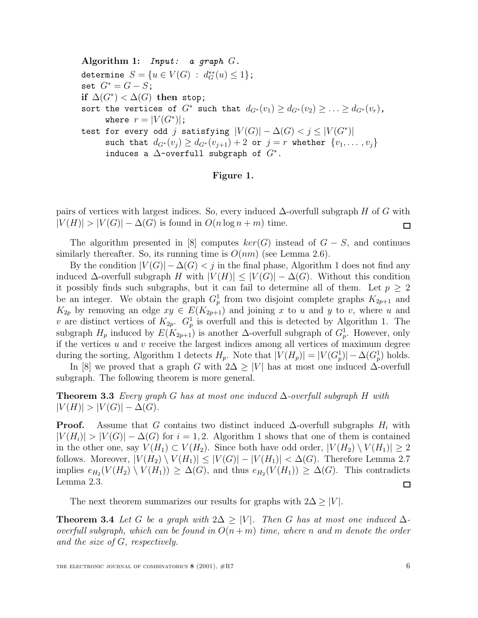**Algorithm 1:** Input: a graph G. determine  $S = \{u \in V(G) : d_G^{**}(u) \le 1\};\$ set  $G^* = G - S$ ; **if**  $\Delta(G^*) < \Delta(G)$  **then** stop; sort the vertices of  $G^*$  such that  $d_{G^*}(v_1) \geq d_{G^*}(v_2) \geq \ldots \geq d_{G^*}(v_r)$ , where  $r = |V(G^*)|$ ; test for every odd j satisfying  $|V(G)| - \Delta(G) < j \leq |V(G^*)|$ such that  $d_{G^*}(v_i) \geq d_{G^*}(v_{i+1}) + 2$  or  $j = r$  whether  $\{v_1, \ldots, v_j\}$ induces a  $\Delta$ -overfull subgraph of  $G^*$ .

### **Figure 1.**

pairs of vertices with largest indices. So, every induced  $\Delta$ -overfull subgraph H of G with  $|V(H)| > |V(G)| - \Delta(G)$  is found in  $O(n \log n + m)$  time. 囗

The algorithm presented in [8] computes  $ker(G)$  instead of  $G - S$ , and continues similarly thereafter. So, its running time is  $O(nm)$  (see Lemma 2.6).

By the condition  $|V(G)| - \Delta(G) < j$  in the final phase, Algorithm 1 does not find any induced  $\Delta$ -overfull subgraph H with  $|V(H)| \leq |V(G)| - \Delta(G)$ . Without this condition it possibly finds such subgraphs, but it can fail to determine all of them. Let  $p \geq 2$ be an integer. We obtain the graph  $G_p^1$  from two disjoint complete graphs  $K_{2p+1}$  and  $K_{2p}$  by removing an edge  $xy \in E(K_{2p+1})$  and joining x to u and y to v, where u and v are distinct vertices of  $K_{2p}$ .  $G_p^1$  is overfull and this is detected by Algorithm 1. The subgraph  $H_p$  induced by  $E(K_{2p+1})$  is another  $\Delta$ -overfull subgraph of  $G_p^1$ . However, only if the vertices  $u$  and  $v$  receive the largest indices among all vertices of maximum degree during the sorting, Algorithm 1 detects  $H_p$ . Note that  $|V(H_p)| = |V(G_p^1)| - \Delta(G_p^1)$  holds.

In [8] we proved that a graph G with  $2\Delta \geq |V|$  has at most one induced  $\Delta$ -overfull subgraph. The following theorem is more general.

**Theorem 3.3** Every graph G has at most one induced ∆-overfull subgraph H with  $|V(H)| > |V(G)| - \Delta(G).$ 

**Proof.** Assume that G contains two distinct induced  $\Delta$ -overfull subgraphs  $H_i$  with  $|V(H_i)| > |V(G)| - \Delta(G)$  for  $i = 1, 2$ . Algorithm 1 shows that one of them is contained in the other one, say  $V(H_1) \subset V(H_2)$ . Since both have odd order,  $|V(H_2) \setminus V(H_1)| \geq 2$ follows. Moreover,  $|V(H_2) \setminus V(H_1)| \leq |V(G)|-|V(H_1)| < \Delta(G)$ . Therefore Lemma 2.7 implies  $e_{H_2}(V(H_2) \setminus V(H_1)) \geq \Delta(G)$ , and thus  $e_{H_2}(V(H_1)) \geq \Delta(G)$ . This contradicts Lemma 2.3.  $\Box$ 

The next theorem summarizes our results for graphs with  $2\Delta \geq |V|$ .

**Theorem 3.4** Let G be a graph with  $2\Delta \geq |V|$ . Then G has at most one induced  $\Delta$ overfull subgraph, which can be found in  $O(n+m)$  time, where n and m denote the order and the size of G, respectively.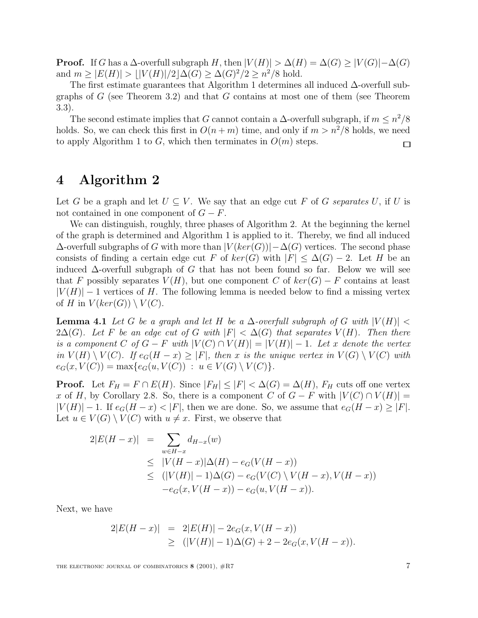**Proof.** If G has a  $\Delta$ -overfull subgraph H, then  $|V(H)| > \Delta(H) = \Delta(G) \geq |V(G)| - \Delta(G)$ and  $m > |E(H)| > |V(H)|/2|\Delta(G) > \Delta(G)^2/2 > n^2/8$  hold.

The first estimate guarantees that Algorithm 1 determines all induced ∆-overfull subgraphs of  $G$  (see Theorem 3.2) and that  $G$  contains at most one of them (see Theorem 3.3).

The second estimate implies that G cannot contain a  $\Delta$ -overfull subgraph, if  $m \leq n^2/8$ holds. So, we can check this first in  $O(n+m)$  time, and only if  $m>n^2/8$  holds, we need to apply Algorithm 1 to G, which then terminates in  $O(m)$  steps.  $\Box$ 

### **4 Algorithm 2**

Let G be a graph and let  $U \subseteq V$ . We say that an edge cut F of G separates U, if U is not contained in one component of  $G - F$ .

We can distinguish, roughly, three phases of Algorithm 2. At the beginning the kernel of the graph is determined and Algorithm 1 is applied to it. Thereby, we find all induced  $\Delta$ -overfull subgraphs of G with more than  $|V(ker(G))|-\Delta(G)$  vertices. The second phase consists of finding a certain edge cut F of  $ker(G)$  with  $|F| \leq \Delta(G) - 2$ . Let H be an induced  $\Delta$ -overfull subgraph of G that has not been found so far. Below we will see that F possibly separates  $V(H)$ , but one component C of  $ker(G) - F$  contains at least  $|V(H)| - 1$  vertices of H. The following lemma is needed below to find a missing vertex of H in  $V(ker(G)) \setminus V(C)$ .

**Lemma 4.1** Let G be a graph and let H be a  $\Delta$ -overfull subgraph of G with  $|V(H)| < \Delta$  $2\Delta(G)$ . Let F be an edge cut of G with  $|F| < \Delta(G)$  that separates  $V(H)$ . Then there is a component C of  $G - F$  with  $|V(C) \cap V(H)| = |V(H)| - 1$ . Let x denote the vertex in  $V(H) \setminus V(C)$ . If  $e_G(H - x) \geq |F|$ , then x is the unique vertex in  $V(G) \setminus V(C)$  with  $e_G(x, V(C)) = \max\{e_G(u, V(C)) : u \in V(G) \setminus V(C)\}.$ 

**Proof.** Let  $F_H = F \cap E(H)$ . Since  $|F_H| \leq |F| < \Delta(G) = \Delta(H)$ ,  $F_H$  cuts off one vertex x of H, by Corollary 2.8. So, there is a component C of  $G - F$  with  $|V(C) \cap V(H)| =$  $|V(H)| - 1$ . If  $e_G(H - x) < |F|$ , then we are done. So, we assume that  $e_G(H - x) \ge |F|$ . Let  $u \in V(G) \setminus V(C)$  with  $u \neq x$ . First, we observe that

$$
2|E(H - x)| = \sum_{w \in H - x} d_{H - x}(w)
$$
  
\n
$$
\leq |V(H - x)|\Delta(H) - e_G(V(H - x))
$$
  
\n
$$
\leq (|V(H)| - 1)\Delta(G) - e_G(V(C) \setminus V(H - x), V(H - x))
$$
  
\n
$$
-e_G(x, V(H - x)) - e_G(u, V(H - x)).
$$

Next, we have

$$
2|E(H-x)| = 2|E(H)| - 2e_G(x, V(H-x))
$$
  
\n
$$
\geq (|V(H)| - 1)\Delta(G) + 2 - 2e_G(x, V(H-x)).
$$

THE ELECTRONIC JOURNAL OF COMBINATORICS **8** (2001),  $#R7$  7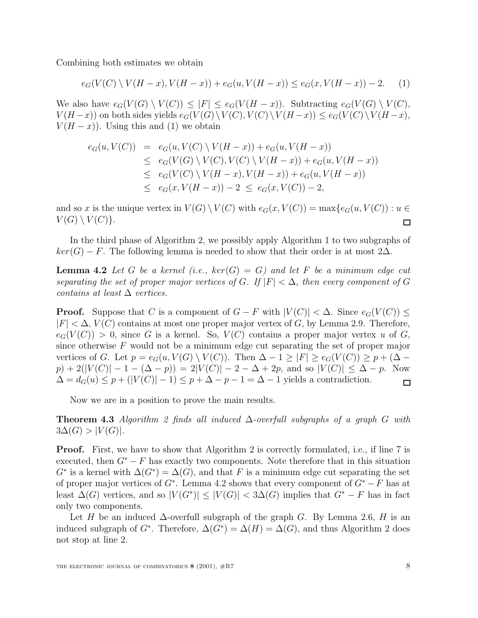Combining both estimates we obtain

$$
e_G(V(C) \setminus V(H-x), V(H-x)) + e_G(u, V(H-x)) \le e_G(x, V(H-x)) - 2. \tag{1}
$$

We also have  $e_G(V(G) \setminus V(C)) \leq |F| \leq e_G(V(H-x))$ . Subtracting  $e_G(V(G) \setminus V(C))$ ,  $V(H-x)$  on both sides yields  $e_G(V(G)\setminus V(C), V(C)\setminus V(H-x)) \le e_G(V(C)\setminus V(H-x),$  $V(H-x)$ ). Using this and (1) we obtain

$$
e_G(u, V(C)) = e_G(u, V(C) \setminus V(H - x)) + e_G(u, V(H - x))
$$
  
\n
$$
\leq e_G(V(G) \setminus V(C), V(C) \setminus V(H - x)) + e_G(u, V(H - x))
$$
  
\n
$$
\leq e_G(V(C) \setminus V(H - x), V(H - x)) + e_G(u, V(H - x))
$$
  
\n
$$
\leq e_G(x, V(H - x)) - 2 \leq e_G(x, V(C)) - 2,
$$

and so x is the unique vertex in  $V(G) \setminus V(C)$  with  $e_G(x, V(C)) = \max\{e_G(u, V(C)) : u \in$  $V(G) \setminus V(C)$ .  $\Box$ 

In the third phase of Algorithm 2, we possibly apply Algorithm 1 to two subgraphs of  $ker(G) - F$ . The following lemma is needed to show that their order is at most 2 $\Delta$ .

**Lemma 4.2** Let G be a kernel (i.e.,  $ker(G) = G$ ) and let F be a minimum edge cut separating the set of proper major vertices of G. If  $|F| < \Delta$ , then every component of G contains at least  $\Delta$  vertices.

**Proof.** Suppose that C is a component of  $G - F$  with  $|V(C)| < \Delta$ . Since  $e_G(V(C)) \le$  $|F| < \Delta$ ,  $V(C)$  contains at most one proper major vertex of G, by Lemma 2.9. Therefore,  $e_G(V(C)) > 0$ , since G is a kernel. So,  $V(C)$  contains a proper major vertex u of G, since otherwise  $F$  would not be a minimum edge cut separating the set of proper major vertices of G. Let  $p = e_G(u, V(G) \setminus V(C))$ . Then  $\Delta - 1 \geq |F| \geq e_G(V(C)) \geq p + (\Delta - 1)$  $p) + 2(|V(C)| - 1 - (\Delta - p)) = 2|V(C)| - 2 - \Delta + 2p$ , and so  $|V(C)| \leq \Delta - p$ . Now  $\Delta = d_G(u) \leq p + (|V(C)| - 1) \leq p + \Delta - p - 1 = \Delta - 1$  yields a contradiction.  $\Box$ 

Now we are in a position to prove the main results.

**Theorem 4.3** Algorithm 2 finds all induced ∆-overfull subgraphs of a graph G with  $3\Delta(G) > |V(G)|$ .

**Proof.** First, we have to show that Algorithm 2 is correctly formulated, i.e., if line 7 is executed, then  $G^* - F$  has exactly two components. Note therefore that in this situation  $G^*$  is a kernel with  $\Delta(G^*) = \Delta(G)$ , and that F is a minimum edge cut separating the set of proper major vertices of  $G^*$ . Lemma 4.2 shows that every component of  $G^* - F$  has at least  $\Delta(G)$  vertices, and so  $|V(G^*)| \leq |V(G)| < 3\Delta(G)$  implies that  $G^* - F$  has in fact only two components.

Let H be an induced  $\Delta$ -overfull subgraph of the graph G. By Lemma 2.6, H is an induced subgraph of  $G^*$ . Therefore,  $\Delta(G^*) = \Delta(H) = \Delta(G)$ , and thus Algorithm 2 does not stop at line 2.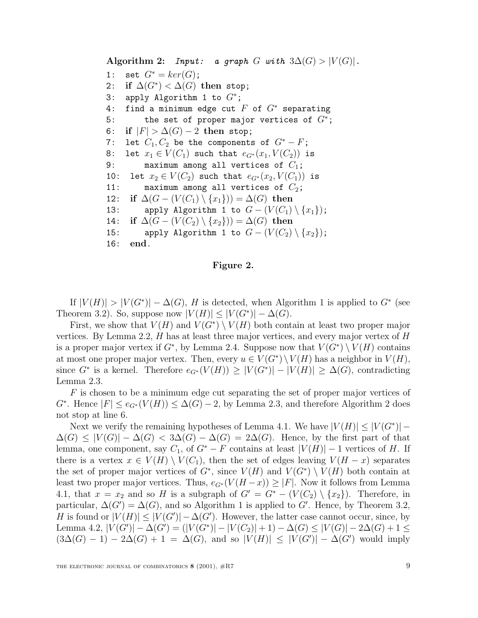**Algorithm 2:** Input: a graph G with  $3\Delta(G) > |V(G)|$ . 1: set  $G^* = ker(G)$ ; 2: **if**  $\Delta(G^*) < \Delta(G)$  then stop; 3: apply Algorithm 1 to  $G^*$ ; 4: find a minimum edge cut  $F$  of  $G^*$  separating 5: the set of proper major vertices of  $G^*$ ; 6: **if**  $|F| > \Delta(G) - 2$  then stop; 7: let  $C_1, C_2$  be the components of  $G^* - F$ ; 8: let  $x_1 \in V(C_1)$  such that  $e_{G^*}(x_1, V(C_2))$  is 9: maximum among all vertices of  $C_1$ ; 10: let  $x_2 \in V(C_2)$  such that  $e_{G^*}(x_2, V(C_1))$  is 11: maximum among all vertices of  $C_2$ ; 12: **if**  $\Delta(G - (V(C_1) \setminus \{x_1\})) = \Delta(G)$  then 13: apply Algorithm 1 to  $G - (V(C_1) \setminus \{x_1\})$ ; 14: **if**  $\Delta(G - (V(C_2) \setminus \{x_2\})) = \Delta(G)$  then 15: apply Algorithm 1 to  $G - (V(C_2) \setminus \{x_2\})$ ; 16: **end**.

### **Figure 2.**

If  $|V(H)| > |V(G^*)| - \Delta(G)$ , H is detected, when Algorithm 1 is applied to  $G^*$  (see Theorem 3.2). So, suppose now  $|V(H)| \leq |V(G^*)| - \Delta(G)$ .

First, we show that  $V(H)$  and  $V(G^*) \setminus V(H)$  both contain at least two proper major vertices. By Lemma 2.2,  $H$  has at least three major vertices, and every major vertex of  $H$ is a proper major vertex if  $G^*$ , by Lemma 2.4. Suppose now that  $V(G^*) \setminus V(H)$  contains at most one proper major vertex. Then, every  $u \in V(G^*) \setminus V(H)$  has a neighbor in  $V(H)$ , since  $G^*$  is a kernel. Therefore  $e_{G^*}(V(H)) \geq |V(G^*)| - |V(H)| \geq \Delta(G)$ , contradicting Lemma 2.3.

F is chosen to be a minimum edge cut separating the set of proper major vertices of  $G^*$ . Hence  $|F| \leq e_{G^*}(V(H)) \leq \Delta(G) - 2$ , by Lemma 2.3, and therefore Algorithm 2 does not stop at line 6.

Next we verify the remaining hypotheses of Lemma 4.1. We have  $|V(H)| \leq |V(G^*)|$  –  $\Delta(G) \leq |V(G)| - \Delta(G) < 3\Delta(G) - \Delta(G) = 2\Delta(G)$ . Hence, by the first part of that lemma, one component, say  $C_1$ , of  $G^* - F$  contains at least  $|V(H)| - 1$  vertices of H. If there is a vertex  $x \in V(H) \setminus V(C_1)$ , then the set of edges leaving  $V(H - x)$  separates the set of proper major vertices of  $G^*$ , since  $V(H)$  and  $V(G^*) \setminus V(H)$  both contain at least two proper major vertices. Thus,  $e_{G^*}(V(H-x)) \geq |F|$ . Now it follows from Lemma 4.1, that  $x = x_2$  and so H is a subgraph of  $G' = G^* - (V(C_2) \setminus \{x_2\})$ . Therefore, in particular,  $\Delta(G') = \Delta(G)$ , and so Algorithm 1 is applied to G'. Hence, by Theorem 3.2, H is found or  $|V(H)| \leq |V(G')| - \Delta(G')$ . However, the latter case cannot occur, since, by Lemma 4.2,  $|V(G')| - \Delta(G') = (|V(G^*)| - |V(C_2)| + 1) - \Delta(G) \le |V(G)| - 2\Delta(G) + 1 \le$  $(3\Delta(G) - 1) - 2\Delta(G) + 1 = \Delta(G)$ , and so  $|V(H)| \leq |V(G')| - \Delta(G')$  would imply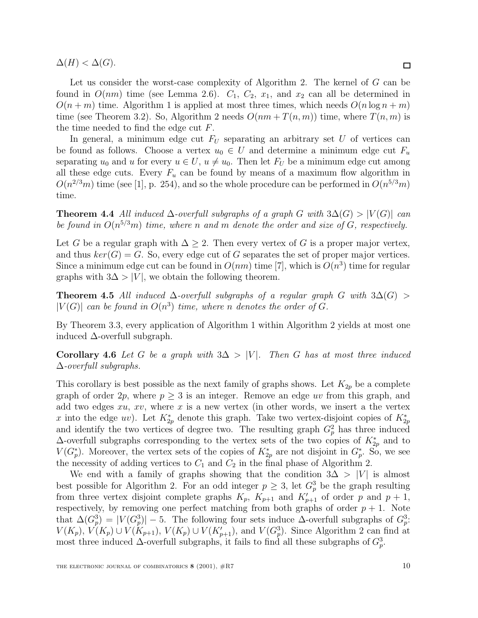$\Delta(H) < \Delta(G)$ .

Let us consider the worst-case complexity of Algorithm 2. The kernel of G can be found in  $O(nm)$  time (see Lemma 2.6).  $C_1$ ,  $C_2$ ,  $x_1$ , and  $x_2$  can all be determined in  $O(n+m)$  time. Algorithm 1 is applied at most three times, which needs  $O(n \log n + m)$ time (see Theorem 3.2). So, Algorithm 2 needs  $O(nm + T(n, m))$  time, where  $T(n, m)$  is the time needed to find the edge cut F.

In general, a minimum edge cut  $F_U$  separating an arbitrary set U of vertices can be found as follows. Choose a vertex  $u_0 \in U$  and determine a minimum edge cut  $F_u$ separating  $u_0$  and u for every  $u \in U$ ,  $u \neq u_0$ . Then let  $F_U$  be a minimum edge cut among all these edge cuts. Every  $F_u$  can be found by means of a maximum flow algorithm in  $O(n^{2/3}m)$  time (see [1], p. 254), and so the whole procedure can be performed in  $O(n^{5/3}m)$ time.

**Theorem 4.4** All induced  $\Delta$ -overfull subgraphs of a graph G with  $3\Delta(G) > |V(G)|$  can be found in  $O(n^{5/3}m)$  time, where n and m denote the order and size of G, respectively.

Let G be a regular graph with  $\Delta \geq 2$ . Then every vertex of G is a proper major vertex, and thus  $ker(G) = G$ . So, every edge cut of G separates the set of proper major vertices. Since a minimum edge cut can be found in  $O(nm)$  time [7], which is  $O(n^3)$  time for regular graphs with  $3\Delta > |V|$ , we obtain the following theorem.

**Theorem 4.5** All induced  $\Delta$ -overfull subgraphs of a regular graph G with  $3\Delta(G)$  >  $|V(G)|$  can be found in  $O(n^3)$  time, where n denotes the order of G.

By Theorem 3.3, every application of Algorithm 1 within Algorithm 2 yields at most one induced  $\Delta$ -overfull subgraph.

**Corollary 4.6** Let G be a graph with  $3\Delta > |V|$ . Then G has at most three induced  $\Delta$ -overfull subgraphs.

This corollary is best possible as the next family of graphs shows. Let  $K_{2p}$  be a complete graph of order  $2p$ , where  $p \geq 3$  is an integer. Remove an edge uv from this graph, and add two edges  $xu$ ,  $xv$ , where  $x$  is a new vertex (in other words, we insert a the vertex x into the edge  $uv$ ). Let  $K_{2p}^*$  denote this graph. Take two vertex-disjoint copies of  $K_{2p}^*$ and identify the two vertices of degree two. The resulting graph  $G_p^2$  has three induced  $\Delta$ -overfull subgraphs corresponding to the vertex sets of the two copies of  $K_{2p}^*$  and to  $V(G_p^*)$ . Moreover, the vertex sets of the copies of  $K_{2p}^*$  are not disjoint in  $G_p^*$ . So, we see the necessity of adding vertices to  $C_1$  and  $C_2$  in the final phase of Algorithm 2.

We end with a family of graphs showing that the condition  $3\Delta > |V|$  is almost best possible for Algorithm 2. For an odd integer  $p \geq 3$ , let  $G_p^3$  be the graph resulting from three vertex disjoint complete graphs  $K_p$ ,  $K_{p+1}$  and  $K'_{p+1}$  of order p and  $p+1$ , respectively, by removing one perfect matching from both graphs of order  $p + 1$ . Note that  $\Delta(G_p^3) = |V(G_p^3)| - 5$ . The following four sets induce  $\Delta$ -overfull subgraphs of  $G_p^3$ .  $V(K_p)$ ,  $V(K_p) \cup V(K_{p+1})$ ,  $V(K_p) \cup V(K'_{p+1})$ , and  $V(G_p^3)$ . Since Algorithm 2 can find at most three induced  $\Delta$ -overfull subgraphs, it fails to find all these subgraphs of  $G_p^3$ .